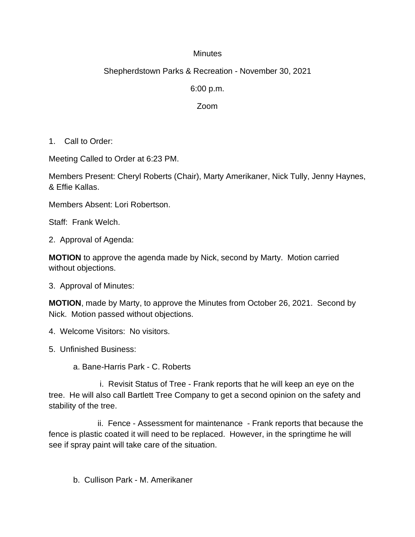### **Minutes**

# Shepherdstown Parks & Recreation - November 30, 2021

6:00 p.m.

### Zoom

1. Call to Order:

Meeting Called to Order at 6:23 PM.

Members Present: Cheryl Roberts (Chair), Marty Amerikaner, Nick Tully, Jenny Haynes, & Effie Kallas.

Members Absent: Lori Robertson.

Staff: Frank Welch.

2. Approval of Agenda:

**MOTION** to approve the agenda made by Nick, second by Marty. Motion carried without objections.

3. Approval of Minutes:

**MOTION**, made by Marty, to approve the Minutes from October 26, 2021. Second by Nick. Motion passed without objections.

- 4. Welcome Visitors: No visitors.
- 5. Unfinished Business:
	- a. Bane-Harris Park C. Roberts

 i. Revisit Status of Tree - Frank reports that he will keep an eye on the tree. He will also call Bartlett Tree Company to get a second opinion on the safety and stability of the tree.

ii. Fence - Assessment for maintenance - Frank reports that because the fence is plastic coated it will need to be replaced. However, in the springtime he will see if spray paint will take care of the situation.

b. Cullison Park - M. Amerikaner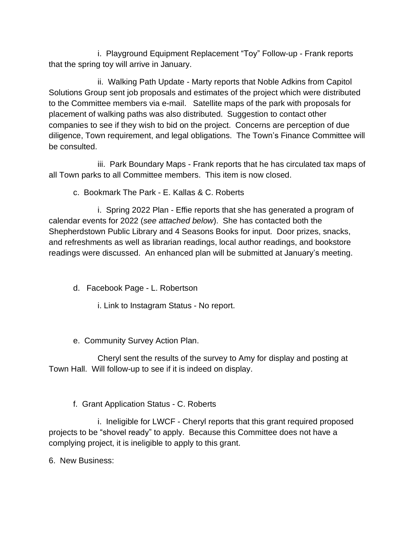i. Playground Equipment Replacement "Toy" Follow-up - Frank reports that the spring toy will arrive in January.

ii. Walking Path Update - Marty reports that Noble Adkins from Capitol Solutions Group sent job proposals and estimates of the project which were distributed to the Committee members via e-mail. Satellite maps of the park with proposals for placement of walking paths was also distributed. Suggestion to contact other companies to see if they wish to bid on the project. Concerns are perception of due diligence, Town requirement, and legal obligations. The Town's Finance Committee will be consulted.

iii. Park Boundary Maps - Frank reports that he has circulated tax maps of all Town parks to all Committee members. This item is now closed.

c. Bookmark The Park - E. Kallas & C. Roberts

i. Spring 2022 Plan - Effie reports that she has generated a program of calendar events for 2022 (*see attached below*). She has contacted both the Shepherdstown Public Library and 4 Seasons Books for input. Door prizes, snacks, and refreshments as well as librarian readings, local author readings, and bookstore readings were discussed. An enhanced plan will be submitted at January's meeting.

d. Facebook Page - L. Robertson

i. Link to Instagram Status - No report.

e. Community Survey Action Plan.

Cheryl sent the results of the survey to Amy for display and posting at Town Hall. Will follow-up to see if it is indeed on display.

f. Grant Application Status - C. Roberts

i. Ineligible for LWCF - Cheryl reports that this grant required proposed projects to be "shovel ready" to apply. Because this Committee does not have a complying project, it is ineligible to apply to this grant.

6. New Business: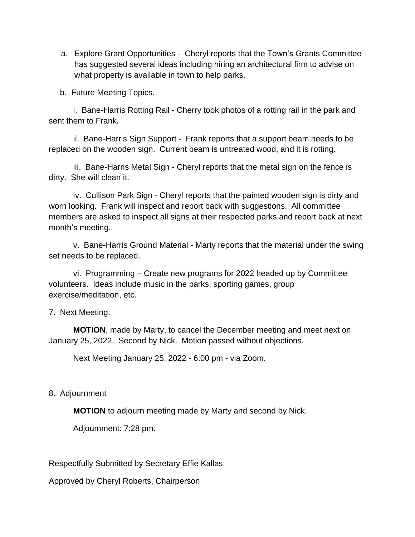a. Explore Grant Opportunities - Cheryl reports that the Town's Grants Committee has suggested several ideas including hiring an architectural firm to advise on what property is available in town to help parks.

b. Future Meeting Topics.

i. Bane-Harris Rotting Rail - Cherry took photos of a rotting rail in the park and sent them to Frank.

ii. Bane-Harris Sign Support - Frank reports that a support beam needs to be replaced on the wooden sign. Current beam is untreated wood, and it is rotting.

iii. Bane-Harris Metal Sign - Cheryl reports that the metal sign on the fence is dirty. She will clean it.

iv. Cullison Park Sign - Cheryl reports that the painted wooden sign is dirty and worn looking. Frank will inspect and report back with suggestions. All committee members are asked to inspect all signs at their respected parks and report back at next month's meeting.

v. Bane-Harris Ground Material - Marty reports that the material under the swing set needs to be replaced.

vi. Programming – Create new programs for 2022 headed up by Committee volunteers. Ideas include music in the parks, sporting games, group exercise/meditation, etc.

### 7. Next Meeting.

**MOTION**, made by Marty, to cancel the December meeting and meet next on January 25, 2022. Second by Nick. Motion passed without objections.

Next Meeting January 25, 2022 - 6:00 pm - via Zoom.

## 8. Adjournment

**MOTION** to adjourn meeting made by Marty and second by Nick.

Adjournment: 7:28 pm.

Respectfully Submitted by Secretary Effie Kallas.

Approved by Cheryl Roberts, Chairperson